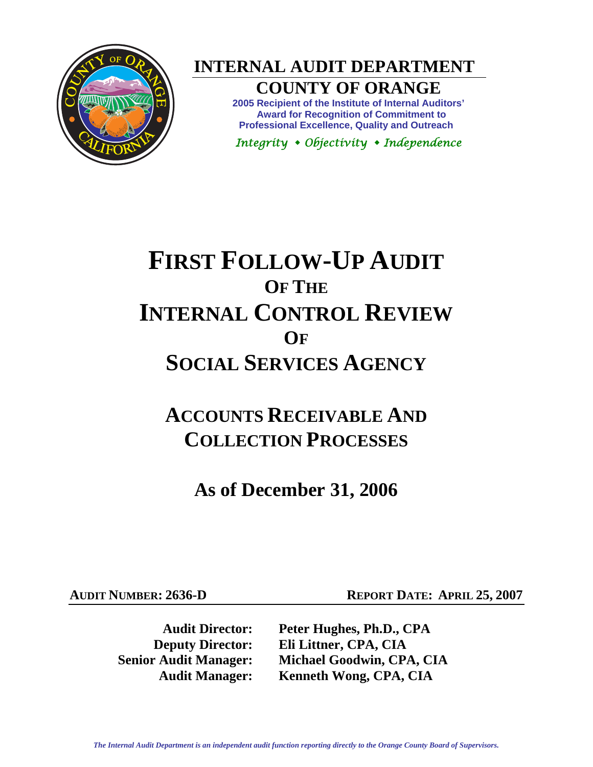

**INTERNAL AUDIT DEPARTMENT** 

### **COUNTY OF ORANGE**

**2005 Recipient of the Institute of Internal Auditors' Award for Recognition of Commitment to Professional Excellence, Quality and Outreach** 

*Integrity Objectivity Independence* 

# **FIRST FOLLOW-UP AUDIT OF THE INTERNAL CONTROL REVIEW OF SOCIAL SERVICES AGENCY**

## **ACCOUNTS RECEIVABLE AND COLLECTION PROCESSES**

**As of December 31, 2006** 

**AUDIT NUMBER: 2636-D REPORT DATE: APRIL 25, 2007** 

**Audit Director: Peter Hughes, Ph.D., CPA Deputy Director: Eli Littner, CPA, CIA Senior Audit Manager: Michael Goodwin, CPA, CIA Audit Manager: Kenneth Wong, CPA, CIA**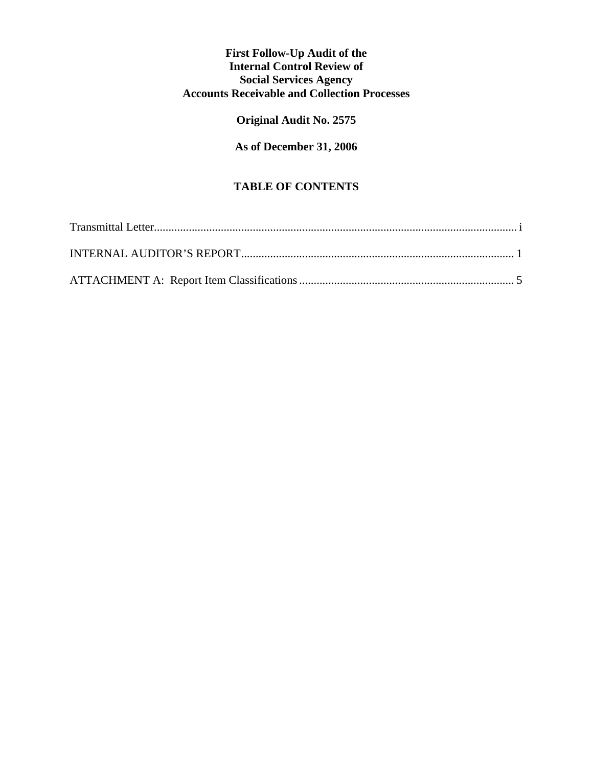#### **First Follow-Up Audit of the Internal Control Review of Social Services Agency Accounts Receivable and Collection Processes**

#### **Original Audit No. 2575**

**As of December 31, 2006** 

#### **TABLE OF CONTENTS**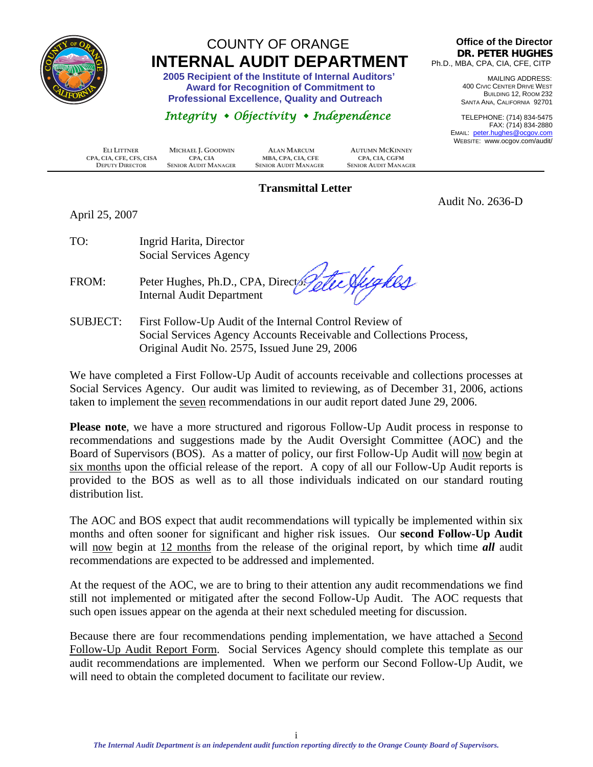<span id="page-2-0"></span>

### COUNTY OF ORANGE  **INTERNAL AUDIT DEPARTMENT 2005 Recipient of the Institute of Internal Auditors'**

 **Award for Recognition of Commitment to Professional Excellence, Quality and Outreach** 

#### *Integrity Objectivity Independence*

**Office of the Director DR. PETER HUGHES** Ph.D., MBA, CPA, CIA, CFE, CITP

> MAILING ADDRESS: 400 CIVIC CENTER DRIVE WEST BUILDING 12, ROOM 232 SANTA ANA, CALIFORNIA 92701

TELEPHONE: (714) 834-5475 FAX: (714) 834-2880 EMAIL: peter.hughes@ocgov.com WEBSITE: www.ocgov.com/audit/

Audit No. 2636-D

 **ELI LITTNER MICHAEL J. GOODWIN ALAN MARCUM AUTUMN MCKINNEY CPA, CIA, CFE, CFS, CISA CPA, CIA MBA, CPA, CIA, CFE CPA, CIA, CPA CPA, CPA, CPA, CPA CPA, CPA, CPA CPA CPA CPA CPA CPA CPA CPA CPA CPA CPA CPA CPA CPA CPA CPA CPA CPA CPA C DEPUTY DIRECTOR SENIOR AUDIT MANAGER SENIOR AUDIT MANAGER SENIOR AUDIT MANAGER**

#### **Transmittal Letter**

April 25, 2007

| TO: | Ingrid Harita, Director |
|-----|-------------------------|
|     | Social Services Agency  |

FROM: Peter Hughes, Ph.D., CPA, Directory Internal Audit Department

SUBJECT: First Follow-Up Audit of the Internal Control Review of Social Services Agency Accounts Receivable and Collections Process, Original Audit No. 2575, Issued June 29, 2006

We have completed a First Follow-Up Audit of accounts receivable and collections processes at Social Services Agency. Our audit was limited to reviewing, as of December 31, 2006, actions taken to implement the seven recommendations in our audit report dated June 29, 2006.

**Please note**, we have a more structured and rigorous Follow-Up Audit process in response to recommendations and suggestions made by the Audit Oversight Committee (AOC) and the Board of Supervisors (BOS). As a matter of policy, our first Follow-Up Audit will now begin at six months upon the official release of the report. A copy of all our Follow-Up Audit reports is provided to the BOS as well as to all those individuals indicated on our standard routing distribution list.

The AOC and BOS expect that audit recommendations will typically be implemented within six months and often sooner for significant and higher risk issues. Our **second Follow-Up Audit** will now begin at 12 months from the release of the original report, by which time **all** audit recommendations are expected to be addressed and implemented.

At the request of the AOC, we are to bring to their attention any audit recommendations we find still not implemented or mitigated after the second Follow-Up Audit. The AOC requests that such open issues appear on the agenda at their next scheduled meeting for discussion.

Because there are four recommendations pending implementation, we have attached a Second Follow-Up Audit Report Form. Social Services Agency should complete this template as our audit recommendations are implemented. When we perform our Second Follow-Up Audit, we will need to obtain the completed document to facilitate our review.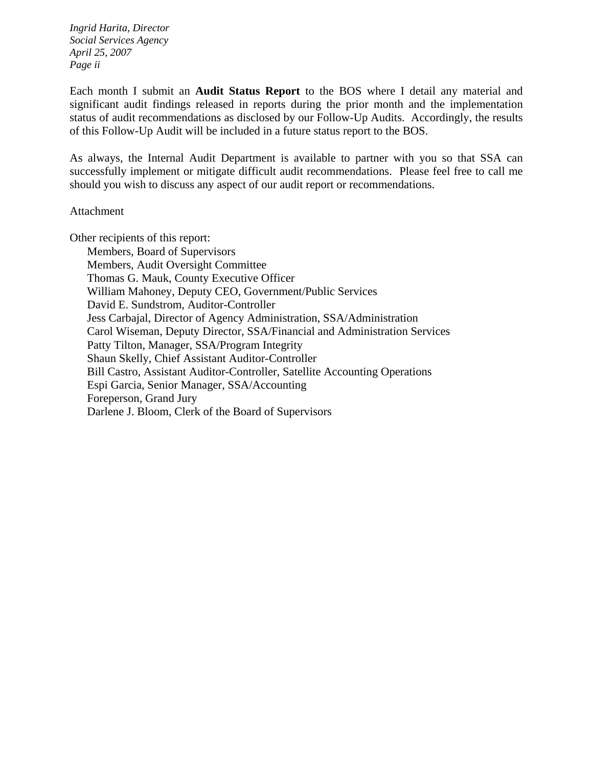*Ingrid Harita, Director Social Services Agency April 25, 2007 Page ii* 

Each month I submit an **Audit Status Report** to the BOS where I detail any material and significant audit findings released in reports during the prior month and the implementation status of audit recommendations as disclosed by our Follow-Up Audits. Accordingly, the results of this Follow-Up Audit will be included in a future status report to the BOS.

As always, the Internal Audit Department is available to partner with you so that SSA can successfully implement or mitigate difficult audit recommendations. Please feel free to call me should you wish to discuss any aspect of our audit report or recommendations.

#### Attachment

Other recipients of this report:

 Members, Board of Supervisors Members, Audit Oversight Committee Thomas G. Mauk, County Executive Officer William Mahoney, Deputy CEO, Government/Public Services David E. Sundstrom, Auditor-Controller Jess Carbajal, Director of Agency Administration, SSA/Administration Carol Wiseman, Deputy Director, SSA/Financial and Administration Services Patty Tilton, Manager, SSA/Program Integrity Shaun Skelly, Chief Assistant Auditor-Controller Bill Castro, Assistant Auditor-Controller, Satellite Accounting Operations Espi Garcia, Senior Manager, SSA/Accounting Foreperson, Grand Jury Darlene J. Bloom, Clerk of the Board of Supervisors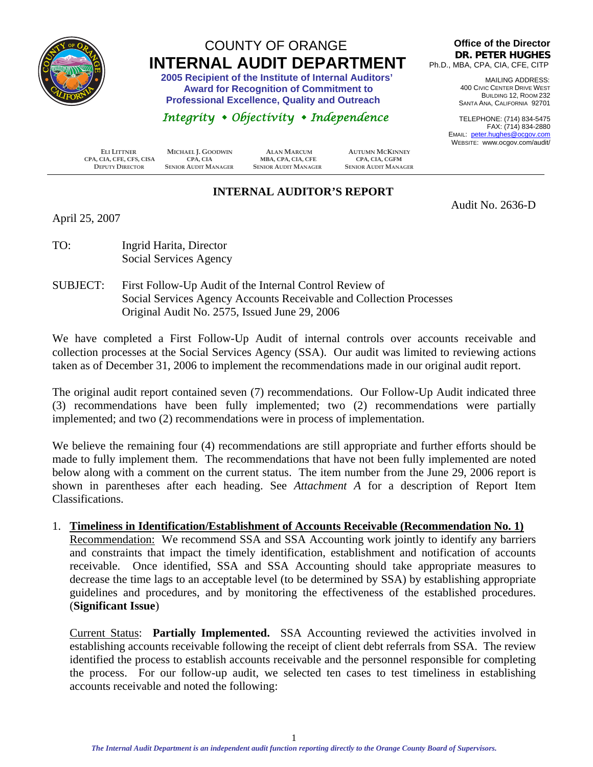<span id="page-4-0"></span>

### COUNTY OF ORANGE  **INTERNAL AUDIT DEPARTMENT 2005 Recipient of the Institute of Internal Auditors'**

 **Award for Recognition of Commitment to Professional Excellence, Quality and Outreach** 

#### *Integrity Objectivity Independence*

 **ELI LITTNER MICHAEL J. GOODWIN ALAN MARCUM AUTUMN MCKINNEY CPA, CIA, CFE, CFS, CISA CPA, CIA MBA, CPA, CIA, CFE CPA, CIA, CGFM DEPUTY DIRECTOR SENIOR AUDIT MANAGER SENIOR AUDIT MANAGER SENIOR AUDIT MANAGER**

#### **INTERNAL AUDITOR'S REPORT**

**Office of the Director DR. PETER HUGHES** Ph.D., MBA, CPA, CIA, CFE, CITP

> MAILING ADDRESS: 400 CIVIC CENTER DRIVE WEST BUILDING 12, ROOM 232 SANTA ANA, CALIFORNIA 92701

TELEPHONE: (714) 834-5475 FAX: (714) 834-2880 EMAIL: peter.hughes@ocgov.com WEBSITE: www.ocgov.com/audit/

Audit No. 2636-D

April 25, 2007

- TO: Ingrid Harita, Director Social Services Agency
- SUBJECT: First Follow-Up Audit of the Internal Control Review of Social Services Agency Accounts Receivable and Collection Processes Original Audit No. 2575, Issued June 29, 2006

We have completed a First Follow-Up Audit of internal controls over accounts receivable and collection processes at the Social Services Agency (SSA). Our audit was limited to reviewing actions taken as of December 31, 2006 to implement the recommendations made in our original audit report.

The original audit report contained seven (7) recommendations. Our Follow-Up Audit indicated three (3) recommendations have been fully implemented; two (2) recommendations were partially implemented; and two (2) recommendations were in process of implementation.

We believe the remaining four (4) recommendations are still appropriate and further efforts should be made to fully implement them. The recommendations that have not been fully implemented are noted below along with a comment on the current status. The item number from the June 29, 2006 report is shown in parentheses after each heading. See *Attachment A* for a description of Report Item Classifications.

#### 1. **Timeliness in Identification/Establishment of Accounts Receivable (Recommendation No. 1)**

Recommendation: We recommend SSA and SSA Accounting work jointly to identify any barriers and constraints that impact the timely identification, establishment and notification of accounts receivable. Once identified, SSA and SSA Accounting should take appropriate measures to decrease the time lags to an acceptable level (to be determined by SSA) by establishing appropriate guidelines and procedures, and by monitoring the effectiveness of the established procedures. (**Significant Issue**)

Current Status: **Partially Implemented.** SSA Accounting reviewed the activities involved in establishing accounts receivable following the receipt of client debt referrals from SSA. The review identified the process to establish accounts receivable and the personnel responsible for completing the process. For our follow-up audit, we selected ten cases to test timeliness in establishing accounts receivable and noted the following: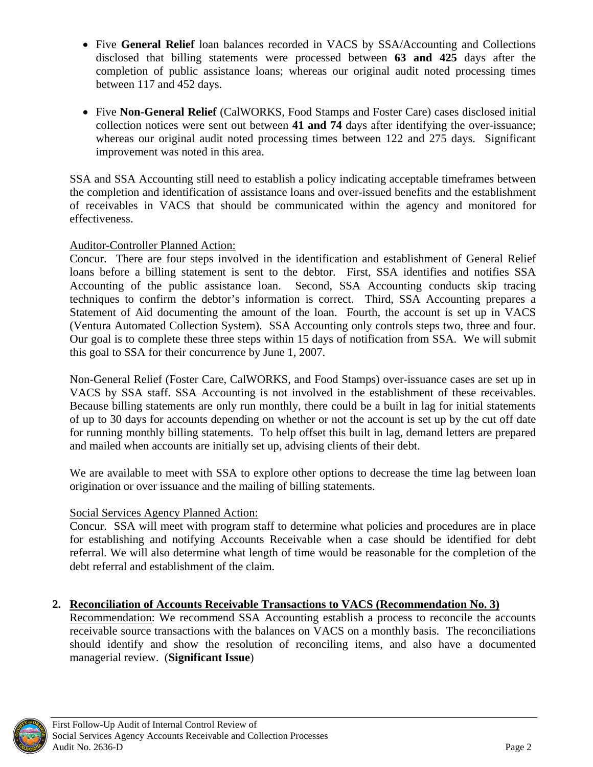- Five **General Relief** loan balances recorded in VACS by SSA/Accounting and Collections disclosed that billing statements were processed between **63 and 425** days after the completion of public assistance loans; whereas our original audit noted processing times between 117 and 452 days.
- Five **Non-General Relief** (CalWORKS, Food Stamps and Foster Care) cases disclosed initial collection notices were sent out between **41 and 74** days after identifying the over-issuance; whereas our original audit noted processing times between 122 and 275 days. Significant improvement was noted in this area.

SSA and SSA Accounting still need to establish a policy indicating acceptable timeframes between the completion and identification of assistance loans and over-issued benefits and the establishment of receivables in VACS that should be communicated within the agency and monitored for effectiveness.

#### Auditor-Controller Planned Action:

Concur. There are four steps involved in the identification and establishment of General Relief loans before a billing statement is sent to the debtor. First, SSA identifies and notifies SSA Accounting of the public assistance loan. Second, SSA Accounting conducts skip tracing techniques to confirm the debtor's information is correct. Third, SSA Accounting prepares a Statement of Aid documenting the amount of the loan. Fourth, the account is set up in VACS (Ventura Automated Collection System). SSA Accounting only controls steps two, three and four. Our goal is to complete these three steps within 15 days of notification from SSA. We will submit this goal to SSA for their concurrence by June 1, 2007.

Non-General Relief (Foster Care, CalWORKS, and Food Stamps) over-issuance cases are set up in VACS by SSA staff. SSA Accounting is not involved in the establishment of these receivables. Because billing statements are only run monthly, there could be a built in lag for initial statements of up to 30 days for accounts depending on whether or not the account is set up by the cut off date for running monthly billing statements. To help offset this built in lag, demand letters are prepared and mailed when accounts are initially set up, advising clients of their debt.

We are available to meet with SSA to explore other options to decrease the time lag between loan origination or over issuance and the mailing of billing statements.

#### Social Services Agency Planned Action:

Concur. SSA will meet with program staff to determine what policies and procedures are in place for establishing and notifying Accounts Receivable when a case should be identified for debt referral. We will also determine what length of time would be reasonable for the completion of the debt referral and establishment of the claim.

#### **2. Reconciliation of Accounts Receivable Transactions to VACS (Recommendation No. 3)**

Recommendation: We recommend SSA Accounting establish a process to reconcile the accounts receivable source transactions with the balances on VACS on a monthly basis. The reconciliations should identify and show the resolution of reconciling items, and also have a documented managerial review. (**Significant Issue**)

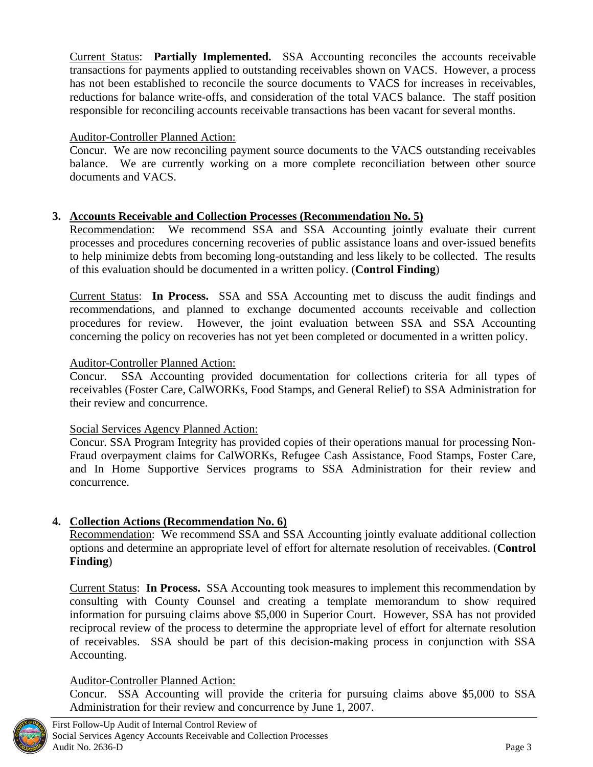Current Status: **Partially Implemented.** SSA Accounting reconciles the accounts receivable transactions for payments applied to outstanding receivables shown on VACS. However, a process has not been established to reconcile the source documents to VACS for increases in receivables, reductions for balance write-offs, and consideration of the total VACS balance. The staff position responsible for reconciling accounts receivable transactions has been vacant for several months.

#### Auditor-Controller Planned Action:

Concur. We are now reconciling payment source documents to the VACS outstanding receivables balance. We are currently working on a more complete reconciliation between other source documents and VACS.

#### **3. Accounts Receivable and Collection Processes (Recommendation No. 5)**

Recommendation: We recommend SSA and SSA Accounting jointly evaluate their current processes and procedures concerning recoveries of public assistance loans and over-issued benefits to help minimize debts from becoming long-outstanding and less likely to be collected. The results of this evaluation should be documented in a written policy. (**Control Finding**)

Current Status: **In Process.** SSA and SSA Accounting met to discuss the audit findings and recommendations, and planned to exchange documented accounts receivable and collection procedures for review. However, the joint evaluation between SSA and SSA Accounting concerning the policy on recoveries has not yet been completed or documented in a written policy.

#### Auditor-Controller Planned Action:

Concur. SSA Accounting provided documentation for collections criteria for all types of receivables (Foster Care, CalWORKs, Food Stamps, and General Relief) to SSA Administration for their review and concurrence.

#### Social Services Agency Planned Action:

Concur. SSA Program Integrity has provided copies of their operations manual for processing Non-Fraud overpayment claims for CalWORKs, Refugee Cash Assistance, Food Stamps, Foster Care, and In Home Supportive Services programs to SSA Administration for their review and concurrence.

#### **4. Collection Actions (Recommendation No. 6)**

Recommendation: We recommend SSA and SSA Accounting jointly evaluate additional collection options and determine an appropriate level of effort for alternate resolution of receivables. (**Control Finding**)

Current Status: **In Process.** SSA Accounting took measures to implement this recommendation by consulting with County Counsel and creating a template memorandum to show required information for pursuing claims above \$5,000 in Superior Court. However, SSA has not provided reciprocal review of the process to determine the appropriate level of effort for alternate resolution of receivables. SSA should be part of this decision-making process in conjunction with SSA Accounting.

#### Auditor-Controller Planned Action:

Concur. SSA Accounting will provide the criteria for pursuing claims above \$5,000 to SSA Administration for their review and concurrence by June 1, 2007.

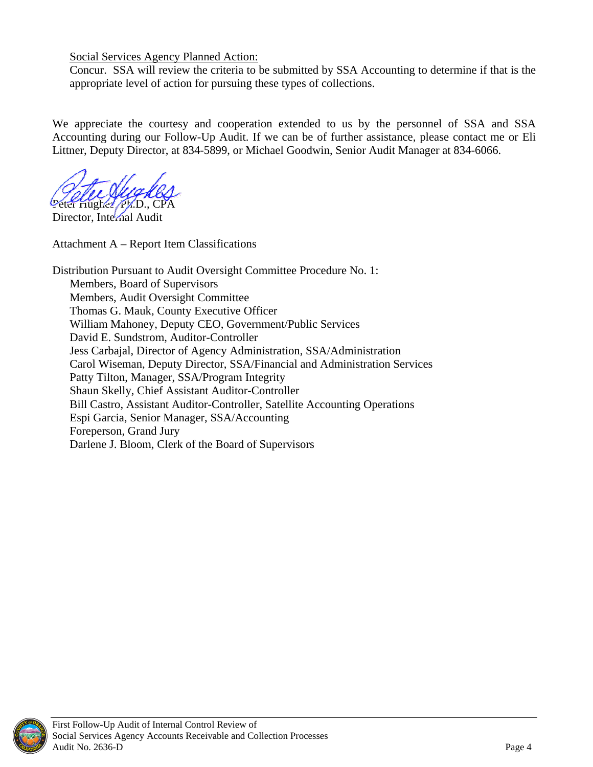Social Services Agency Planned Action:

Concur. SSA will review the criteria to be submitted by SSA Accounting to determine if that is the appropriate level of action for pursuing these types of collections.

We appreciate the courtesy and cooperation extended to us by the personnel of SSA and SSA Accounting during our Follow-Up Audit. If we can be of further assistance, please contact me or Eli Littner, Deputy Director, at 834-5899, or Michael Goodwin, Senior Audit Manager at 834-6066.

Peter Hughes, PMD., C

Director, Internal Audit

Attachment A – Report Item Classifications

Distribution Pursuant to Audit Oversight Committee Procedure No. 1: Members, Board of Supervisors Members, Audit Oversight Committee Thomas G. Mauk, County Executive Officer William Mahoney, Deputy CEO, Government/Public Services David E. Sundstrom, Auditor-Controller Jess Carbajal, Director of Agency Administration, SSA/Administration Carol Wiseman, Deputy Director, SSA/Financial and Administration Services Patty Tilton, Manager, SSA/Program Integrity Shaun Skelly, Chief Assistant Auditor-Controller Bill Castro, Assistant Auditor-Controller, Satellite Accounting Operations Espi Garcia, Senior Manager, SSA/Accounting Foreperson, Grand Jury Darlene J. Bloom, Clerk of the Board of Supervisors